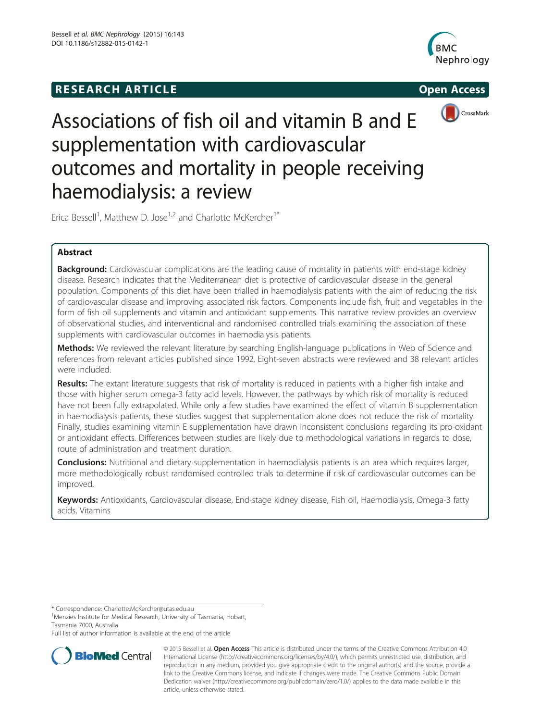# **RESEARCH ARTICLE Example 2014 The SEAR CH ACCESS**







# Associations of fish oil and vitamin B and E supplementation with cardiovascular outcomes and mortality in people receiving haemodialysis: a review

Erica Bessell<sup>1</sup>, Matthew D. Jose<sup>1,2</sup> and Charlotte McKercher<sup>1\*</sup>

# Abstract

**Background:** Cardiovascular complications are the leading cause of mortality in patients with end-stage kidney disease. Research indicates that the Mediterranean diet is protective of cardiovascular disease in the general population. Components of this diet have been trialled in haemodialysis patients with the aim of reducing the risk of cardiovascular disease and improving associated risk factors. Components include fish, fruit and vegetables in the form of fish oil supplements and vitamin and antioxidant supplements. This narrative review provides an overview of observational studies, and interventional and randomised controlled trials examining the association of these supplements with cardiovascular outcomes in haemodialysis patients.

Methods: We reviewed the relevant literature by searching English-language publications in Web of Science and references from relevant articles published since 1992. Eight-seven abstracts were reviewed and 38 relevant articles were included.

Results: The extant literature suggests that risk of mortality is reduced in patients with a higher fish intake and those with higher serum omega-3 fatty acid levels. However, the pathways by which risk of mortality is reduced have not been fully extrapolated. While only a few studies have examined the effect of vitamin B supplementation in haemodialysis patients, these studies suggest that supplementation alone does not reduce the risk of mortality. Finally, studies examining vitamin E supplementation have drawn inconsistent conclusions regarding its pro-oxidant or antioxidant effects. Differences between studies are likely due to methodological variations in regards to dose, route of administration and treatment duration.

**Conclusions:** Nutritional and dietary supplementation in haemodialysis patients is an area which requires larger, more methodologically robust randomised controlled trials to determine if risk of cardiovascular outcomes can be improved.

Keywords: Antioxidants, Cardiovascular disease, End-stage kidney disease, Fish oil, Haemodialysis, Omega-3 fatty acids, Vitamins

\* Correspondence: [Charlotte.McKercher@utas.edu.au](mailto:Charlotte.McKercher@utas.edu.au) <sup>1</sup>

<sup>1</sup>Menzies Institute for Medical Research, University of Tasmania, Hobart, Tasmania 7000, Australia

Full list of author information is available at the end of the article



© 2015 Bessell et al. Open Access This article is distributed under the terms of the Creative Commons Attribution 4.0 International License [\(http://creativecommons.org/licenses/by/4.0/\)](http://creativecommons.org/licenses/by/4.0/), which permits unrestricted use, distribution, and reproduction in any medium, provided you give appropriate credit to the original author(s) and the source, provide a link to the Creative Commons license, and indicate if changes were made. The Creative Commons Public Domain Dedication waiver ([http://creativecommons.org/publicdomain/zero/1.0/\)](http://creativecommons.org/publicdomain/zero/1.0/) applies to the data made available in this article, unless otherwise stated.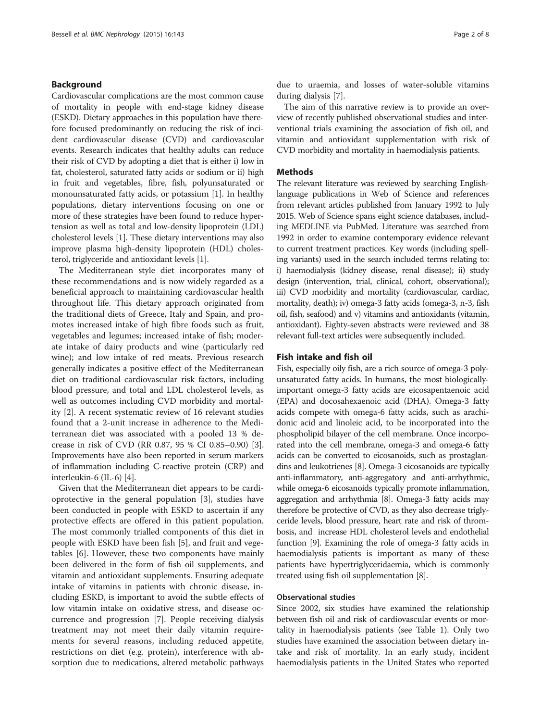# Background

Cardiovascular complications are the most common cause of mortality in people with end-stage kidney disease (ESKD). Dietary approaches in this population have therefore focused predominantly on reducing the risk of incident cardiovascular disease (CVD) and cardiovascular events. Research indicates that healthy adults can reduce their risk of CVD by adopting a diet that is either i) low in fat, cholesterol, saturated fatty acids or sodium or ii) high in fruit and vegetables, fibre, fish, polyunsaturated or monounsaturated fatty acids, or potassium [\[1](#page-6-0)]. In healthy populations, dietary interventions focusing on one or more of these strategies have been found to reduce hypertension as well as total and low-density lipoprotein (LDL) cholesterol levels [[1](#page-6-0)]. These dietary interventions may also improve plasma high-density lipoprotein (HDL) cholesterol, triglyceride and antioxidant levels [[1\]](#page-6-0).

The Mediterranean style diet incorporates many of these recommendations and is now widely regarded as a beneficial approach to maintaining cardiovascular health throughout life. This dietary approach originated from the traditional diets of Greece, Italy and Spain, and promotes increased intake of high fibre foods such as fruit, vegetables and legumes; increased intake of fish; moderate intake of dairy products and wine (particularly red wine); and low intake of red meats. Previous research generally indicates a positive effect of the Mediterranean diet on traditional cardiovascular risk factors, including blood pressure, and total and LDL cholesterol levels, as well as outcomes including CVD morbidity and mortality [\[2](#page-6-0)]. A recent systematic review of 16 relevant studies found that a 2-unit increase in adherence to the Mediterranean diet was associated with a pooled 13 % decrease in risk of CVD (RR 0.87, 95 % CI 0.85–0.90) [\[3](#page-6-0)]. Improvements have also been reported in serum markers of inflammation including C-reactive protein (CRP) and interleukin-6 (IL-6) [[4\]](#page-7-0).

Given that the Mediterranean diet appears to be cardioprotective in the general population [\[3\]](#page-6-0), studies have been conducted in people with ESKD to ascertain if any protective effects are offered in this patient population. The most commonly trialled components of this diet in people with ESKD have been fish [\[5](#page-7-0)], and fruit and vegetables [\[6\]](#page-7-0). However, these two components have mainly been delivered in the form of fish oil supplements, and vitamin and antioxidant supplements. Ensuring adequate intake of vitamins in patients with chronic disease, including ESKD, is important to avoid the subtle effects of low vitamin intake on oxidative stress, and disease occurrence and progression [[7\]](#page-7-0). People receiving dialysis treatment may not meet their daily vitamin requirements for several reasons, including reduced appetite, restrictions on diet (e.g. protein), interference with absorption due to medications, altered metabolic pathways due to uraemia, and losses of water-soluble vitamins during dialysis [[7\]](#page-7-0).

The aim of this narrative review is to provide an overview of recently published observational studies and interventional trials examining the association of fish oil, and vitamin and antioxidant supplementation with risk of CVD morbidity and mortality in haemodialysis patients.

# **Methods**

The relevant literature was reviewed by searching Englishlanguage publications in Web of Science and references from relevant articles published from January 1992 to July 2015. Web of Science spans eight science databases, including MEDLINE via PubMed. Literature was searched from 1992 in order to examine contemporary evidence relevant to current treatment practices. Key words (including spelling variants) used in the search included terms relating to: i) haemodialysis (kidney disease, renal disease); ii) study design (intervention, trial, clinical, cohort, observational); iii) CVD morbidity and mortality (cardiovascular, cardiac, mortality, death); iv) omega-3 fatty acids (omega-3, n-3, fish oil, fish, seafood) and v) vitamins and antioxidants (vitamin, antioxidant). Eighty-seven abstracts were reviewed and 38 relevant full-text articles were subsequently included.

# Fish intake and fish oil

Fish, especially oily fish, are a rich source of omega-3 polyunsaturated fatty acids. In humans, the most biologicallyimportant omega-3 fatty acids are eicosapentaenoic acid (EPA) and docosahexaenoic acid (DHA). Omega-3 fatty acids compete with omega-6 fatty acids, such as arachidonic acid and linoleic acid, to be incorporated into the phospholipid bilayer of the cell membrane. Once incorporated into the cell membrane, omega-3 and omega-6 fatty acids can be converted to eicosanoids, such as prostaglandins and leukotrienes [[8](#page-7-0)]. Omega-3 eicosanoids are typically anti-inflammatory, anti-aggregatory and anti-arrhythmic, while omega-6 eicosanoids typically promote inflammation, aggregation and arrhythmia [\[8\]](#page-7-0). Omega-3 fatty acids may therefore be protective of CVD, as they also decrease triglyceride levels, blood pressure, heart rate and risk of thrombosis, and increase HDL cholesterol levels and endothelial function [\[9\]](#page-7-0). Examining the role of omega-3 fatty acids in haemodialysis patients is important as many of these patients have hypertriglyceridaemia, which is commonly treated using fish oil supplementation [\[8](#page-7-0)].

#### Observational studies

Since 2002, six studies have examined the relationship between fish oil and risk of cardiovascular events or mortality in haemodialysis patients (see Table [1](#page-2-0)). Only two studies have examined the association between dietary intake and risk of mortality. In an early study, incident haemodialysis patients in the United States who reported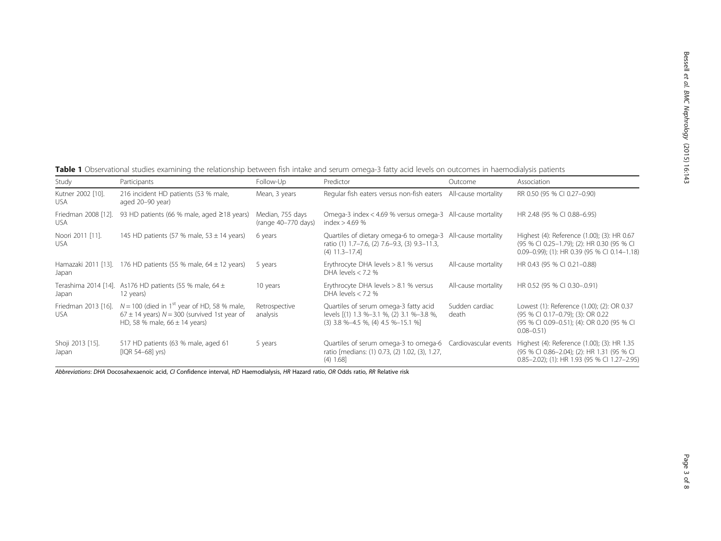| Study                             | Participants                                                                                                                                                             | Follow-Up                               | Predictor                                                                                                                        | Outcome                 | Association                                                                                                                                    |
|-----------------------------------|--------------------------------------------------------------------------------------------------------------------------------------------------------------------------|-----------------------------------------|----------------------------------------------------------------------------------------------------------------------------------|-------------------------|------------------------------------------------------------------------------------------------------------------------------------------------|
| Kutner 2002 [10].<br><b>USA</b>   | 216 incident HD patients (53 % male,<br>aged 20-90 year)                                                                                                                 | Mean, 3 years                           | Regular fish eaters versus non-fish eaters All-cause mortality                                                                   |                         | RR 0.50 (95 % CI 0.27-0.90)                                                                                                                    |
| Friedman 2008 [12].<br><b>USA</b> | 93 HD patients (66 % male, aged ≥18 years)                                                                                                                               | Median, 755 days<br>(range 40-770 days) | Omega-3 index < 4.69 % versus omega-3 All-cause mortality<br>index $> 4.69$ %                                                    |                         | HR 2.48 (95 % CI 0.88-6.95)                                                                                                                    |
| Noori 2011 [11].<br><b>USA</b>    | 145 HD patients (57 % male, $53 \pm 14$ years)                                                                                                                           | 6 years                                 | Quartiles of dietary omega-6 to omega-3 All-cause mortality<br>ratio (1) 1.7–7.6, (2) 7.6–9.3, (3) 9.3–11.3,<br>$(4)$ 11.3-17.4] |                         | Highest (4): Reference (1.00); (3): HR 0.67<br>(95 % CI 0.25-1.79); (2): HR 0.30 (95 % CI<br>0.09-0.99); (1): HR 0.39 (95 % CI 0.14-1.18)      |
| Hamazaki 2011 [13].<br>Japan      | 176 HD patients (55 % male, $64 \pm 12$ years)                                                                                                                           | 5 years                                 | Erythrocyte DHA levels $> 8.1$ % versus<br>DHA levels $<$ 7.2 %                                                                  | All-cause mortality     | HR 0.43 (95 % CI 0.21-0.88)                                                                                                                    |
| Japan                             | Terashima 2014 [14]. As176 HD patients (55 % male, 64 $\pm$<br>12 years)                                                                                                 | 10 years                                | Erythrocyte DHA levels $> 8.1$ % versus<br>DHA levels $<$ 7.2 %                                                                  | All-cause mortality     | HR 0.52 (95 % CI 0.30-.0.91)                                                                                                                   |
| <b>USA</b>                        | Friedman 2013 [16]. $N = 100$ (died in 1 <sup>st</sup> year of HD, 58 % male,<br>$67 \pm 14$ years) $N = 300$ (survived 1st year of<br>HD, 58 % male, $66 \pm 14$ years) | Retrospective<br>analysis               | Quartiles of serum omega-3 fatty acid<br>levels [(1) 1.3 %-3.1 %, (2) 3.1 %-3.8 %,<br>$(3)$ 3.8 %-4.5 %, (4) 4.5 %-15.1 %        | Sudden cardiac<br>death | Lowest (1): Reference (1.00); (2): OR 0.37<br>(95 % CI 0.17-0.79); (3): OR 0.22<br>(95 % CI 0.09-0.51); (4): OR 0.20 (95 % CI<br>$0.08 - 0.51$ |
| Shoji 2013 [15].<br>Japan         | 517 HD patients (63 % male, aged 61<br>$[IQR 54-68]$ yrs)                                                                                                                | 5 years                                 | Quartiles of serum omega-3 to omega-6<br>ratio [medians: (1) 0.73, (2) 1.02, (3), 1.27,<br>(4) 1.68]                             | Cardiovascular events   | Highest (4): Reference (1.00); (3): HR 1.35<br>(95 % CI 0.86-2.04); (2): HR 1.31 (95 % CI<br>0.85-2.02); (1): HR 1.93 (95 % CI 1.27-2.95)      |

<span id="page-2-0"></span>Table 1 Observational studies examining the relationship between fish intake and serum omega-3 fatty acid levels on outcomes in haemodialysis patients

Abbreviations: DHA Docosahexaenoic acid, CI Confidence interval, HD Haemodialysis, HR Hazard ratio, OR Odds ratio, RR Relative risk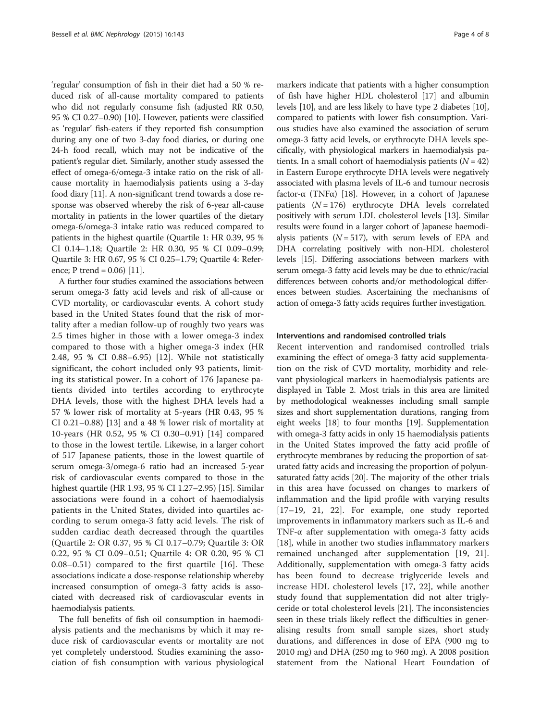'regular' consumption of fish in their diet had a 50 % reduced risk of all-cause mortality compared to patients who did not regularly consume fish (adjusted RR 0.50, 95 % CI 0.27–0.90) [\[10\]](#page-7-0). However, patients were classified as 'regular' fish-eaters if they reported fish consumption during any one of two 3-day food diaries, or during one 24-h food recall, which may not be indicative of the patient's regular diet. Similarly, another study assessed the effect of omega-6/omega-3 intake ratio on the risk of allcause mortality in haemodialysis patients using a 3-day food diary [[11\]](#page-7-0). A non-significant trend towards a dose response was observed whereby the risk of 6-year all-cause mortality in patients in the lower quartiles of the dietary omega-6/omega-3 intake ratio was reduced compared to patients in the highest quartile (Quartile 1: HR 0.39, 95 % CI 0.14–1.18; Quartile 2: HR 0.30, 95 % CI 0.09–0.99; Quartile 3: HR 0.67, 95 % CI 0.25–1.79; Quartile 4: Reference; P trend = 0.06) [\[11\]](#page-7-0).

A further four studies examined the associations between serum omega-3 fatty acid levels and risk of all-cause or CVD mortality, or cardiovascular events. A cohort study based in the United States found that the risk of mortality after a median follow-up of roughly two years was 2.5 times higher in those with a lower omega-3 index compared to those with a higher omega-3 index (HR 2.48, 95 % CI 0.88–6.95) [[12](#page-7-0)]. While not statistically significant, the cohort included only 93 patients, limiting its statistical power. In a cohort of 176 Japanese patients divided into tertiles according to erythrocyte DHA levels, those with the highest DHA levels had a 57 % lower risk of mortality at 5-years (HR 0.43, 95 % CI 0.21–0.88) [\[13](#page-7-0)] and a 48 % lower risk of mortality at 10-years (HR 0.52, 95 % CI 0.30–0.91) [[14\]](#page-7-0) compared to those in the lowest tertile. Likewise, in a larger cohort of 517 Japanese patients, those in the lowest quartile of serum omega-3/omega-6 ratio had an increased 5-year risk of cardiovascular events compared to those in the highest quartile (HR 1.93, 95 % CI 1.27–2.95) [[15](#page-7-0)]. Similar associations were found in a cohort of haemodialysis patients in the United States, divided into quartiles according to serum omega-3 fatty acid levels. The risk of sudden cardiac death decreased through the quartiles (Quartile 2: OR 0.37, 95 % CI 0.17–0.79; Quartile 3: OR 0.22, 95 % CI 0.09–0.51; Quartile 4: OR 0.20, 95 % CI 0.08–0.51) compared to the first quartile [[16\]](#page-7-0). These associations indicate a dose-response relationship whereby increased consumption of omega-3 fatty acids is associated with decreased risk of cardiovascular events in haemodialysis patients.

The full benefits of fish oil consumption in haemodialysis patients and the mechanisms by which it may reduce risk of cardiovascular events or mortality are not yet completely understood. Studies examining the association of fish consumption with various physiological

markers indicate that patients with a higher consumption of fish have higher HDL cholesterol [[17](#page-7-0)] and albumin levels [[10](#page-7-0)], and are less likely to have type 2 diabetes [[10](#page-7-0)], compared to patients with lower fish consumption. Various studies have also examined the association of serum omega-3 fatty acid levels, or erythrocyte DHA levels specifically, with physiological markers in haemodialysis patients. In a small cohort of haemodialysis patients  $(N = 42)$ in Eastern Europe erythrocyte DHA levels were negatively associated with plasma levels of IL-6 and tumour necrosis factor-α (TNFα) [\[18\]](#page-7-0). However, in a cohort of Japanese patients  $(N = 176)$  erythrocyte DHA levels correlated positively with serum LDL cholesterol levels [\[13](#page-7-0)]. Similar results were found in a larger cohort of Japanese haemodialysis patients  $(N = 517)$ , with serum levels of EPA and DHA correlating positively with non-HDL cholesterol levels [\[15\]](#page-7-0). Differing associations between markers with serum omega-3 fatty acid levels may be due to ethnic/racial differences between cohorts and/or methodological differences between studies. Ascertaining the mechanisms of action of omega-3 fatty acids requires further investigation.

#### Interventions and randomised controlled trials

Recent intervention and randomised controlled trials examining the effect of omega-3 fatty acid supplementation on the risk of CVD mortality, morbidity and relevant physiological markers in haemodialysis patients are displayed in Table [2.](#page-4-0) Most trials in this area are limited by methodological weaknesses including small sample sizes and short supplementation durations, ranging from eight weeks [[18\]](#page-7-0) to four months [[19](#page-7-0)]. Supplementation with omega-3 fatty acids in only 15 haemodialysis patients in the United States improved the fatty acid profile of erythrocyte membranes by reducing the proportion of saturated fatty acids and increasing the proportion of polyunsaturated fatty acids [\[20](#page-7-0)]. The majority of the other trials in this area have focussed on changes to markers of inflammation and the lipid profile with varying results [[17](#page-7-0)–[19, 21, 22\]](#page-7-0). For example, one study reported improvements in inflammatory markers such as IL-6 and TNF-α after supplementation with omega-3 fatty acids [[18\]](#page-7-0), while in another two studies inflammatory markers remained unchanged after supplementation [[19, 21](#page-7-0)]. Additionally, supplementation with omega-3 fatty acids has been found to decrease triglyceride levels and increase HDL cholesterol levels [\[17](#page-7-0), [22](#page-7-0)], while another study found that supplementation did not alter triglyceride or total cholesterol levels [\[21](#page-7-0)]. The inconsistencies seen in these trials likely reflect the difficulties in generalising results from small sample sizes, short study durations, and differences in dose of EPA (900 mg to 2010 mg) and DHA (250 mg to 960 mg). A 2008 position statement from the National Heart Foundation of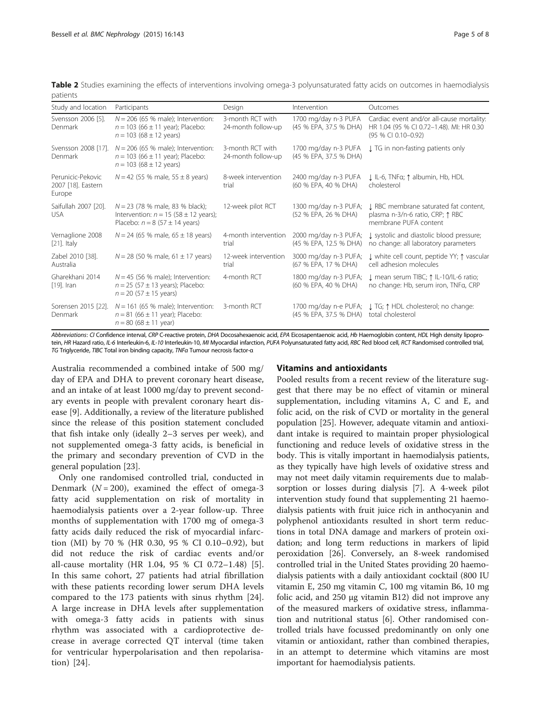<span id="page-4-0"></span>Table 2 Studies examining the effects of interventions involving omega-3 polyunsaturated fatty acids on outcomes in haemodialysis patients

| paciento                                          |                                                                                                                              |                                        |                                                 |                                                                                                              |
|---------------------------------------------------|------------------------------------------------------------------------------------------------------------------------------|----------------------------------------|-------------------------------------------------|--------------------------------------------------------------------------------------------------------------|
| Study and location                                | Participants                                                                                                                 | Design                                 | Intervention                                    | Outcomes                                                                                                     |
| Svensson 2006 [5].<br>Denmark                     | $N = 206$ (65 % male); Intervention:<br>$n = 103 (66 \pm 11 \text{ year})$ ; Placebo:<br>$n = 103 (68 \pm 12 \text{ years})$ | 3-month RCT with<br>24-month follow-up | 1700 mg/day n-3 PUFA<br>(45 % EPA, 37.5 % DHA)  | Cardiac event and/or all-cause mortality:<br>HR 1.04 (95 % CI 0.72-1.48). MI: HR 0.30<br>(95 % CI 0.10-0.92) |
| Svensson 2008 [17].<br>Denmark                    | $N = 206$ (65 % male); Intervention:<br>$n = 103 (66 \pm 11 \text{ year})$ ; Placebo:<br>$n = 103 (68 \pm 12 \text{ years})$ | 3-month RCT with<br>24-month follow-up | 1700 mg/day n-3 PUFA<br>(45 % EPA, 37.5 % DHA)  | J. TG in non-fasting patients only                                                                           |
| Perunicic-Pekovic<br>2007 [18]. Eastern<br>Europe | $N = 42$ (55 % male, 55 $\pm$ 8 years)                                                                                       | 8-week intervention<br>trial           | 2400 mg/day n-3 PUFA<br>(60 % EPA, 40 % DHA)    | J IL-6, TNFa; ↑ albumin, Hb, HDL<br>cholesterol                                                              |
| Saifullah 2007 [20].<br><b>USA</b>                | $N = 23$ (78 % male, 83 % black);<br>Intervention: $n = 15 (58 \pm 12 \text{ years})$ ;<br>Placebo: $n = 8$ (57 ± 14 years)  | 12-week pilot RCT                      | 1300 mg/day n-3 PUFA;<br>(52 % EPA, 26 % DHA)   | J. RBC membrane saturated fat content,<br>plasma n-3/n-6 ratio, CRP; 1 RBC<br>membrane PUFA content          |
| Vernaglione 2008<br>$[21]$ . Italy                | $N = 24$ (65 % male, 65 $\pm$ 18 years)                                                                                      | 4-month intervention<br>trial          | 2000 mg/day n-3 PUFA;<br>(45 % EPA, 12.5 % DHA) | I systolic and diastolic blood pressure;<br>no change: all laboratory parameters                             |
| Zabel 2010 [38].<br>Australia                     | $N = 28$ (50 % male, 61 $\pm$ 17 years)                                                                                      | 12-week intervention<br>trial          | 3000 mg/day n-3 PUFA;<br>(67 % EPA, 17 % DHA)   | ↓ white cell count, peptide YY; ↑ vascular<br>cell adhesion molecules                                        |
| Gharekhani 2014<br>$[19]$ . Iran                  | $N = 45$ (56 % male); Intervention:<br>$n = 25$ (57 $\pm$ 13 years); Placebo:<br>$n = 20 (57 \pm 15 \text{ years})$          | 4-month RCT                            | 1800 mg/day n-3 PUFA;<br>(60 % EPA, 40 % DHA)   | ↓ mean serum TIBC; ↑ IL-10/IL-6 ratio;<br>no change: Hb, serum iron, TNFa, CRP                               |
| Sorensen 2015 [22].<br>Denmark                    | $N = 161$ (65 % male); Intervention:<br>$n = 81$ (66 ± 11 year); Placebo:<br>$n = 80 (68 \pm 11 \text{ year})$               | 3-month RCT                            | (45 % EPA, 37.5 % DHA)                          | 1700 mg/day n-e PUFA; J TG; 1 HDL cholesterol; no change:<br>total cholesterol                               |

Abbreviations: CI Confidence interval, CRP C-reactive protein, DHA Docosahexaenoic acid, EPA Eicosapentaenoic acid, Hb Haemoglobin content, HDL High density lipoprotein, HR Hazard ratio, IL-6 Interleukin-6, IL-10 Interleukin-10, MI Myocardial infarction, PUFA Polyunsaturated fatty acid, RBC Red blood cell, RCT Randomised controlled trial, TG Triglyceride, TIBC Total iron binding capacity, TNF<sup>α</sup> Tumour necrosis factor-<sup>α</sup>

Australia recommended a combined intake of 500 mg/ day of EPA and DHA to prevent coronary heart disease, and an intake of at least 1000 mg/day to prevent secondary events in people with prevalent coronary heart disease [[9\]](#page-7-0). Additionally, a review of the literature published since the release of this position statement concluded that fish intake only (ideally 2–3 serves per week), and not supplemented omega-3 fatty acids, is beneficial in the primary and secondary prevention of CVD in the general population [\[23\]](#page-7-0).

Only one randomised controlled trial, conducted in Denmark  $(N = 200)$ , examined the effect of omega-3 fatty acid supplementation on risk of mortality in haemodialysis patients over a 2-year follow-up. Three months of supplementation with 1700 mg of omega-3 fatty acids daily reduced the risk of myocardial infarction (MI) by 70 % (HR 0.30, 95 % CI 0.10–0.92), but did not reduce the risk of cardiac events and/or all-cause mortality (HR 1.04, 95 % CI 0.72–1.48) [\[5](#page-7-0)]. In this same cohort, 27 patients had atrial fibrillation with these patients recording lower serum DHA levels compared to the 173 patients with sinus rhythm [\[24](#page-7-0)]. A large increase in DHA levels after supplementation with omega-3 fatty acids in patients with sinus rhythm was associated with a cardioprotective decrease in average corrected QT interval (time taken for ventricular hyperpolarisation and then repolarisation) [[24\]](#page-7-0).

# Vitamins and antioxidants

Pooled results from a recent review of the literature suggest that there may be no effect of vitamin or mineral supplementation, including vitamins A, C and E, and folic acid, on the risk of CVD or mortality in the general population [\[25](#page-7-0)]. However, adequate vitamin and antioxidant intake is required to maintain proper physiological functioning and reduce levels of oxidative stress in the body. This is vitally important in haemodialysis patients, as they typically have high levels of oxidative stress and may not meet daily vitamin requirements due to malabsorption or losses during dialysis [\[7](#page-7-0)]. A 4-week pilot intervention study found that supplementing 21 haemodialysis patients with fruit juice rich in anthocyanin and polyphenol antioxidants resulted in short term reductions in total DNA damage and markers of protein oxidation; and long term reductions in markers of lipid peroxidation [[26](#page-7-0)]. Conversely, an 8-week randomised controlled trial in the United States providing 20 haemodialysis patients with a daily antioxidant cocktail (800 IU vitamin E, 250 mg vitamin C, 100 mg vitamin B6, 10 mg folic acid, and 250 μg vitamin B12) did not improve any of the measured markers of oxidative stress, inflammation and nutritional status [\[6](#page-7-0)]. Other randomised controlled trials have focussed predominantly on only one vitamin or antioxidant, rather than combined therapies, in an attempt to determine which vitamins are most important for haemodialysis patients.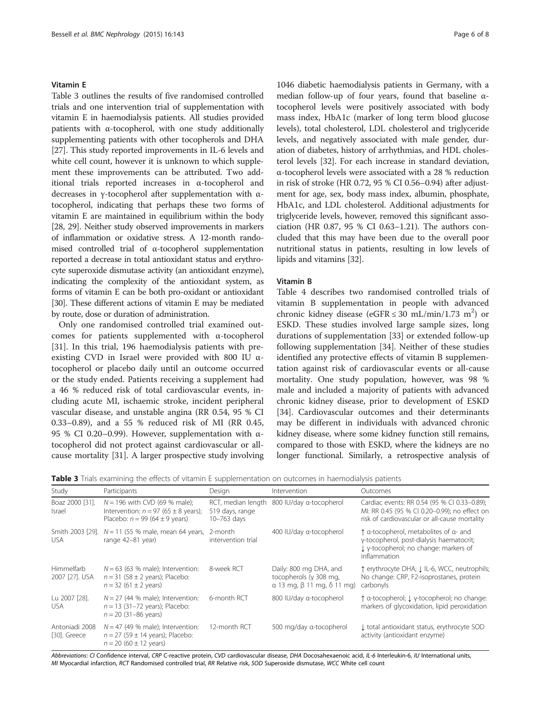# Vitamin E

Table 3 outlines the results of five randomised controlled trials and one intervention trial of supplementation with vitamin E in haemodialysis patients. All studies provided patients with α-tocopherol, with one study additionally supplementing patients with other tocopherols and DHA [[27](#page-7-0)]. This study reported improvements in IL-6 levels and white cell count, however it is unknown to which supplement these improvements can be attributed. Two additional trials reported increases in α-tocopherol and decreases in γ-tocopherol after supplementation with αtocopherol, indicating that perhaps these two forms of vitamin E are maintained in equilibrium within the body [[28](#page-7-0), [29](#page-7-0)]. Neither study observed improvements in markers of inflammation or oxidative stress. A 12-month randomised controlled trial of α-tocopherol supplementation reported a decrease in total antioxidant status and erythrocyte superoxide dismutase activity (an antioxidant enzyme), indicating the complexity of the antioxidant system, as forms of vitamin E can be both pro-oxidant or antioxidant [[30](#page-7-0)]. These different actions of vitamin E may be mediated by route, dose or duration of administration.

Only one randomised controlled trial examined outcomes for patients supplemented with α-tocopherol [[31\]](#page-7-0). In this trial, 196 haemodialysis patients with preexisting CVD in Israel were provided with 800 IU αtocopherol or placebo daily until an outcome occurred or the study ended. Patients receiving a supplement had a 46 % reduced risk of total cardiovascular events, including acute MI, ischaemic stroke, incident peripheral vascular disease, and unstable angina (RR 0.54, 95 % CI 0.33–0.89), and a 55 % reduced risk of MI (RR 0.45, 95 % CI 0.20–0.99). However, supplementation with  $α$ tocopherol did not protect against cardiovascular or allcause mortality [\[31\]](#page-7-0). A larger prospective study involving

1046 diabetic haemodialysis patients in Germany, with a median follow-up of four years, found that baseline αtocopherol levels were positively associated with body mass index, HbA1c (marker of long term blood glucose levels), total cholesterol, LDL cholesterol and triglyceride levels, and negatively associated with male gender, duration of diabetes, history of arrhythmias, and HDL cholesterol levels [[32](#page-7-0)]. For each increase in standard deviation, α-tocopherol levels were associated with a 28 % reduction in risk of stroke (HR 0.72, 95 % CI 0.56–0.94) after adjustment for age, sex, body mass index, albumin, phosphate, HbA1c, and LDL cholesterol. Additional adjustments for triglyceride levels, however, removed this significant association (HR 0.87, 95 % CI 0.63–1.21). The authors concluded that this may have been due to the overall poor nutritional status in patients, resulting in low levels of lipids and vitamins [[32](#page-7-0)].

# Vitamin B

Table [4](#page-6-0) describes two randomised controlled trials of vitamin B supplementation in people with advanced chronic kidney disease (eGFR  $\leq$  30 mL/min/1.73 m<sup>2</sup>) or ESKD. These studies involved large sample sizes, long durations of supplementation [[33\]](#page-7-0) or extended follow-up following supplementation [[34\]](#page-7-0). Neither of these studies identified any protective effects of vitamin B supplementation against risk of cardiovascular events or all-cause mortality. One study population, however, was 98 % male and included a majority of patients with advanced chronic kidney disease, prior to development of ESKD [[34\]](#page-7-0). Cardiovascular outcomes and their determinants may be different in individuals with advanced chronic kidney disease, where some kidney function still remains, compared to those with ESKD, where the kidneys are no longer functional. Similarly, a retrospective analysis of

**Table 3** Trials examining the effects of vitamin E supplementation on outcomes in haemodialysis patients

| Study                          | Participants                                                                                                        | Design                                               | Intervention                                                                       | Outcomes                                                                                                                                            |
|--------------------------------|---------------------------------------------------------------------------------------------------------------------|------------------------------------------------------|------------------------------------------------------------------------------------|-----------------------------------------------------------------------------------------------------------------------------------------------------|
| Boaz 2000 [31].<br>Israel      | $N = 196$ with CVD (69 % male);<br>Intervention: $n = 97$ (65 ± 8 years);<br>Placebo: $n = 99$ (64 ± 9 years)       | RCT, median length<br>519 days, range<br>10-763 days | 800 IU/day a-tocopherol                                                            | Cardiac events: RR 0.54 (95 % CI 0.33-0.89);<br>MI: RR 0.45 (95 % CI 0.20-0.99); no effect on<br>risk of cardiovascular or all-cause mortality      |
| Smith 2003 [29].<br><b>USA</b> | $N = 11$ (55 % male, mean 64 years,<br>range 42-81 year)                                                            | 2-month<br>intervention trial                        | 400 IU/day a-tocopherol                                                            | $\uparrow$ a-tocopherol, metabolites of a- and<br>y-tocopherol, post-dialysis haematocrit;<br>1 y-tocopherol; no change: markers of<br>inflammation |
| Himmelfarb<br>2007 [27]. USA   | $N = 63$ (63 % male); Intervention:<br>$n = 31$ (58 ± 2 years); Placebo:<br>$n = 32 (61 \pm 2 \text{ years})$       | 8-week RCT                                           | Daily: 800 mg DHA, and<br>tocopherols (y 308 mg,<br>α 13 mg, $β$ 11 mg, $δ$ 11 mg) | ↑ erythrocyte DHA; ↓ IL-6, WCC, neutrophils;<br>No change: CRP, F2-isoprostanes, protein<br>carbonyls                                               |
| Lu 2007 [28].<br><b>USA</b>    | $N = 27$ (44 % male); Intervention:<br>$n = 13$ (31-72 years); Placebo:<br>$n = 20$ (31-86 years)                   | 6-month RCT                                          | 800 IU/day a-tocopherol                                                            | ↑ α-tocopherol; ↓ γ-tocopherol; no change:<br>markers of glycoxidation, lipid peroxidation                                                          |
| Antoniadi 2008<br>[30]. Greece | $N = 47$ (49 % male); Intervention:<br>$n = 27$ (59 $\pm$ 14 years); Placebo:<br>$n = 20 (60 \pm 12 \text{ years})$ | 12-month RCT                                         | 500 mg/day a-tocopherol                                                            | I total antioxidant status, erythrocyte SOD<br>activity (antioxidant enzyme)                                                                        |

Abbreviations: CI Confidence interval, CRP C-reactive protein, CVD cardiovascular disease, DHA Docosahexaenoic acid, IL-6 Interleukin-6, IU International units, MI Myocardial infarction, RCT Randomised controlled trial, RR Relative risk, SOD Superoxide dismutase, WCC White cell count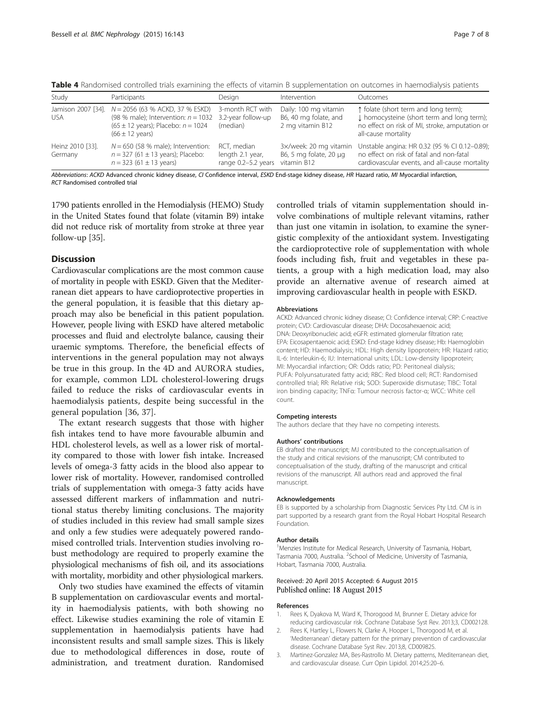<span id="page-6-0"></span>Table 4 Randomised controlled trials examining the effects of vitamin B supplementation on outcomes in haemodialysis patients

| Study                       | Participants                                                                                                                                                                    | Design                                                 | Intervention                                                         | Outcomes                                                                                                                                                    |
|-----------------------------|---------------------------------------------------------------------------------------------------------------------------------------------------------------------------------|--------------------------------------------------------|----------------------------------------------------------------------|-------------------------------------------------------------------------------------------------------------------------------------------------------------|
| <b>USA</b>                  | Jamison 2007 [34]. N = 2056 (63 % ACKD, 37 % ESKD)<br>(98 % male); Intervention: $n = 1032$<br>$(65 \pm 12 \text{ years})$ ; Placebo: $n = 1024$<br>$(66 \pm 12 \text{ years})$ | 3-month RCT with<br>3.2-year follow-up<br>(median)     | Daily: 100 mg vitamin<br>B6, 40 mg folate, and<br>2 mg vitamin B12   | ↑ folate (short term and long term);<br>I homocysteine (short term and long term);<br>no effect on risk of MI, stroke, amputation or<br>all-cause mortality |
| Heinz 2010 [33].<br>Germany | $N = 650$ (58 % male); Intervention:<br>$n = 327 (61 \pm 13 \text{ years})$ ; Placebo:<br>$n = 323$ (61 ± 13 years)                                                             | RCT, median<br>length 2.1 year,<br>range 0.2-5.2 years | 3x/week: 20 mg vitamin<br>B6, 5 mg folate, 20 $\mu$ g<br>vitamin B12 | Unstable angina: HR 0.32 (95 % CI 0.12-0.89);<br>no effect on risk of fatal and non-fatal<br>cardiovascular events, and all-cause mortality                 |
|                             |                                                                                                                                                                                 |                                                        |                                                                      |                                                                                                                                                             |

Abbreviations: ACKD Advanced chronic kidney disease, CI Confidence interval, ESKD End-stage kidney disease, HR Hazard ratio, MI Myocardial infarction, RCT Randomised controlled trial

1790 patients enrolled in the Hemodialysis (HEMO) Study in the United States found that folate (vitamin B9) intake did not reduce risk of mortality from stroke at three year follow-up [[35](#page-7-0)].

# **Discussion**

Cardiovascular complications are the most common cause of mortality in people with ESKD. Given that the Mediterranean diet appears to have cardioprotective properties in the general population, it is feasible that this dietary approach may also be beneficial in this patient population. However, people living with ESKD have altered metabolic processes and fluid and electrolyte balance, causing their uraemic symptoms. Therefore, the beneficial effects of interventions in the general population may not always be true in this group. In the 4D and AURORA studies, for example, common LDL cholesterol-lowering drugs failed to reduce the risks of cardiovascular events in haemodialysis patients, despite being successful in the general population [[36, 37](#page-7-0)].

The extant research suggests that those with higher fish intakes tend to have more favourable albumin and HDL cholesterol levels, as well as a lower risk of mortality compared to those with lower fish intake. Increased levels of omega-3 fatty acids in the blood also appear to lower risk of mortality. However, randomised controlled trials of supplementation with omega-3 fatty acids have assessed different markers of inflammation and nutritional status thereby limiting conclusions. The majority of studies included in this review had small sample sizes and only a few studies were adequately powered randomised controlled trials. Intervention studies involving robust methodology are required to properly examine the physiological mechanisms of fish oil, and its associations with mortality, morbidity and other physiological markers.

Only two studies have examined the effects of vitamin B supplementation on cardiovascular events and mortality in haemodialysis patients, with both showing no effect. Likewise studies examining the role of vitamin E supplementation in haemodialysis patients have had inconsistent results and small sample sizes. This is likely due to methodological differences in dose, route of administration, and treatment duration. Randomised

controlled trials of vitamin supplementation should involve combinations of multiple relevant vitamins, rather than just one vitamin in isolation, to examine the synergistic complexity of the antioxidant system. Investigating the cardioprotective role of supplementation with whole foods including fish, fruit and vegetables in these patients, a group with a high medication load, may also provide an alternative avenue of research aimed at improving cardiovascular health in people with ESKD.

#### Abbreviations

ACKD: Advanced chronic kidney disease; CI: Confidence interval; CRP: C-reactive protein; CVD: Cardiovascular disease; DHA: Docosahexaenoic acid; DNA: Deoxyribonucleic acid; eGFR: estimated glomerular filtration rate; EPA: Eicosapentaenoic acid; ESKD: End-stage kidney disease; Hb: Haemoglobin content; HD: Haemodialysis; HDL: High density lipoprotein; HR: Hazard ratio; IL-6: Interleukin-6; IU: International units; LDL: Low-density lipoprotein; MI: Myocardial infarction; OR: Odds ratio; PD: Peritoneal dialysis; PUFA: Polyunsaturated fatty acid; RBC: Red blood cell; RCT: Randomised controlled trial; RR: Relative risk; SOD: Superoxide dismutase; TIBC: Total iron binding capacity; TNFα: Tumour necrosis factor-α; WCC: White cell count.

#### Competing interests

The authors declare that they have no competing interests.

#### Authors' contributions

EB drafted the manuscript; MJ contributed to the conceptualisation of the study and critical revisions of the manuscript; CM contributed to conceptualisation of the study, drafting of the manuscript and critical revisions of the manuscript. All authors read and approved the final manuscript.

#### Acknowledgements

EB is supported by a scholarship from Diagnostic Services Pty Ltd. CM is in part supported by a research grant from the Royal Hobart Hospital Research Foundation.

#### Author details

<sup>1</sup>Menzies Institute for Medical Research, University of Tasmania, Hobart, Tasmania 7000, Australia. <sup>2</sup>School of Medicine, University of Tasmania Hobart, Tasmania 7000, Australia.

#### Received: 20 April 2015 Accepted: 6 August 2015 Published online: 18 August 2015

#### References

- 1. Rees K, Dyakova M, Ward K, Thorogood M, Brunner E. Dietary advice for reducing cardiovascular risk. Cochrane Database Syst Rev. 2013;3, CD002128.
- 2. Rees K, Hartley L, Flowers N, Clarke A, Hooper L, Thorogood M, et al. 'Mediterranean' dietary pattern for the primary prevention of cardiovascular disease. Cochrane Database Syst Rev. 2013;8, CD009825.
- 3. Martinez-Gonzalez MA, Bes-Rastrollo M. Dietary patterns, Mediterranean diet, and cardiovascular disease. Curr Opin Lipidol. 2014;25:20–6.